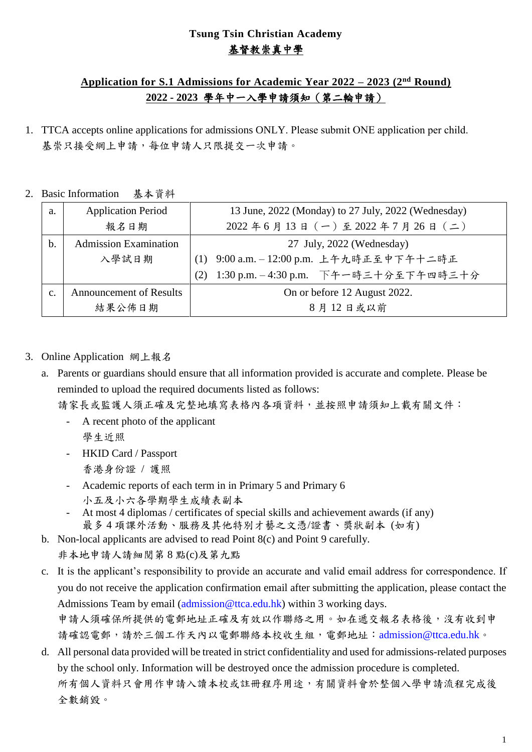## **Tsung Tsin Christian Academy**  基督教崇真中學

## **Application for S.1 Admissions for Academic Year 2022 – 2023 (2nd Round) 2022 - 2023** 學年中一入學申請須知(第二輪申請)

- 1. TTCA accepts online applications for admissions ONLY. Please submit ONE application per child. 基崇只接受網上申請,每位申請人只限提交一次申請。
- 2. Basic Information 基本資料

| a. | <b>Application Period</b>      | 13 June, 2022 (Monday) to 27 July, 2022 (Wednesday) |  |
|----|--------------------------------|-----------------------------------------------------|--|
|    | 報名日期                           | $2022 46 413 4 (-) 42022 47 426 4 (-)$              |  |
| b. | <b>Admission Examination</b>   | 27 July, 2022 (Wednesday)                           |  |
|    | 入學試日期                          | 9:00 a.m. - 12:00 p.m. 上午九時正至中下午十二時正                |  |
|    |                                | 1:30 p.m. - 4:30 p.m. 下午一時三十分至下午四時三十分<br>(2)        |  |
| c. | <b>Announcement of Results</b> | On or before 12 August 2022.                        |  |
|    | 結果公佈日期                         | 8月12日或以前                                            |  |

- 3. Online Application 網上報名
	- a. Parents or guardians should ensure that all information provided is accurate and complete. Please be reminded to upload the required documents listed as follows:

請家長或監護人須正確及完整地填寫表格內各項資料,並按照申請須知上載有關文件:

- A recent photo of the applicant 學生近照
- HKID Card / Passport 香港身份證 / 護照
- Academic reports of each term in in Primary 5 and Primary 6
	- 小五及小六各學期學生成績表副本
- At most 4 diplomas / certificates of special skills and achievement awards (if any) 最多 4 項課外活動、服務及其他特別才藝之文憑/證書、獎狀副本 (如有)
- b. Non-local applicants are advised to read Point 8(c) and Point 9 carefully. 非本地申請人請細閱第 8 點(c)及第九點
- c. It is the applicant's responsibility to provide an accurate and valid email address for correspondence. If you do not receive the application confirmation email after submitting the application, please contact the Admissions Team by email (admission@ttca.edu.hk) within 3 working days. 申請人須確保所提供的電郵地址正確及有效以作聯絡之用。如在遞交報名表格後,沒有收到申 請確認電郵,請於三個工作天內以電郵聯絡本校收生組,電郵地址: admission@ttca.edu.hk。
- d. All personal data provided will be treated in strict confidentiality and used for admissions-related purposes by the school only. Information will be destroyed once the admission procedure is completed. 所有個人資料只會用作申請入讀本校或註冊程序用途,有關資料會於整個入學申請流程完成後 全數銷毀。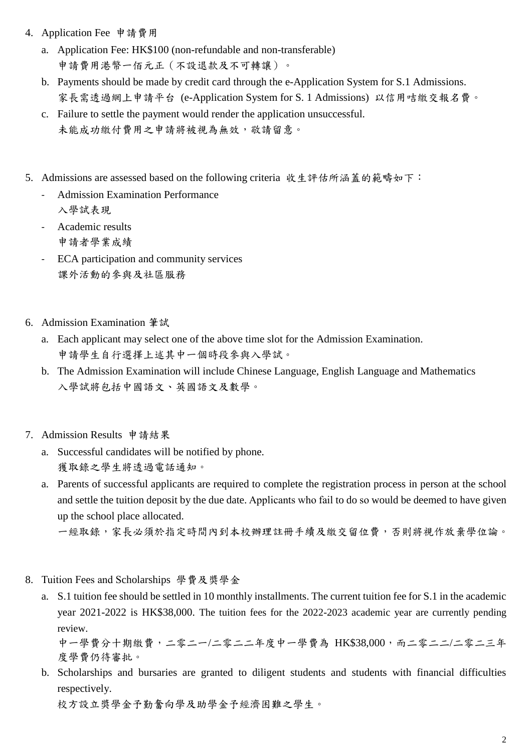- 4. Application Fee 申請費用
	- a. Application Fee: HK\$100 (non-refundable and non-transferable) 申請費用港幣一佰元正(不設退款及不可轉讓)。
	- b. Payments should be made by credit card through the e-Application System for S.1 Admissions. 家長需透過網上申請平台 (e-Application System for S. 1 Admissions) 以信用咭繳交報名費。
	- c. Failure to settle the payment would render the application unsuccessful. 未能成功繳付費用之申請將被視為無效,敬請留意。
- 5. Admissions are assessed based on the following criteria 收生評估所涵蓋的範疇如下:
	- Admission Examination Performance 入學試表現
	- Academic results 申請者學業成績
	- ECA participation and community services 課外活動的參與及社區服務
- 6. Admission Examination 筆試
	- a. Each applicant may select one of the above time slot for the Admission Examination. 申請學生自行選擇上述其中一個時段參與入學試。
	- b. The Admission Examination will include Chinese Language, English Language and Mathematics 入學試將包括中國語文、英國語文及數學。
- 7. Admission Results 申請結果
	- a. Successful candidates will be notified by phone. 獲取錄之學生將透過電話通知。
	- a. Parents of successful applicants are required to complete the registration process in person at the school and settle the tuition deposit by the due date. Applicants who fail to do so would be deemed to have given up the school place allocated.

一經取錄,家長必須於指定時間內到本校辦理註冊手續及繳交留位費,否則將視作放棄學位論。

- 8. Tuition Fees and Scholarships 學費及獎學金
	- a. S.1 tuition fee should be settled in 10 monthly installments. The current tuition fee for S.1 in the academic year 2021-2022 is HK\$38,000. The tuition fees for the 2022-2023 academic year are currently pending review.

中一學費分十期繳費,二零二一/二零二二年度中一學費為 HK\$38,000,而二零二二/二零二三年 度學費仍待審批。

b. Scholarships and bursaries are granted to diligent students and students with financial difficulties respectively.

校方設立獎學金予勤奮向學及助學金予經濟困難之學生。